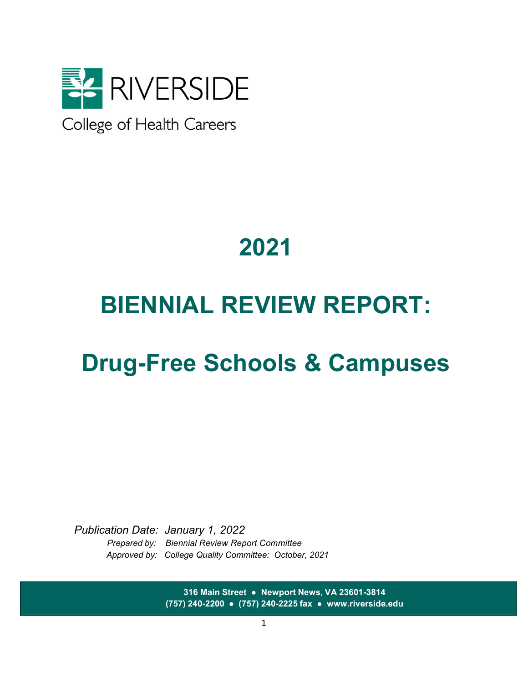

College of Health Careers

# **2021**

# **BIENNIAL REVIEW REPORT:**

# **Drug-Free Schools & Campuses**

*Publication Date: January 1, 2022 Prepared by: Biennial Review Report Committee Approved by: College Quality Committee: October, 2021*

> **316 Main Street ● Newport News, VA 23601-3814 (757) 240-2200 ● (757) 240-2225 fax ● [www.riverside.edu](http://www.riverside.edu/)**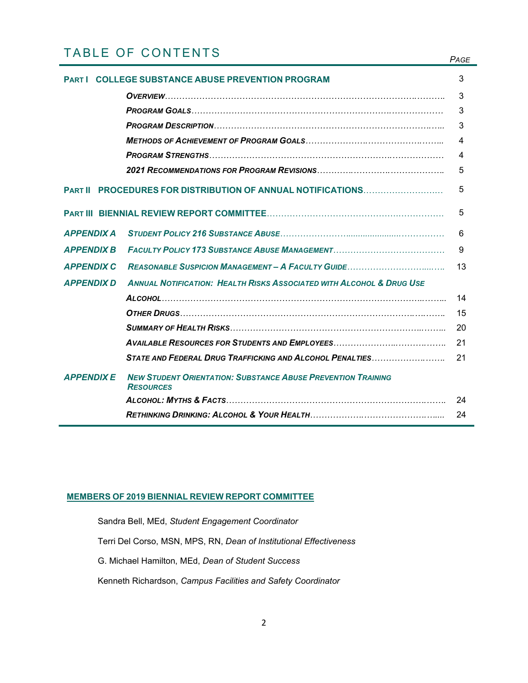# TABLE OF CONTENTS *PAGE*

|                   | <b>COLLEGE SUBSTANCE ABUSE PREVENTION PROGRAM</b>                                       | 3  |
|-------------------|-----------------------------------------------------------------------------------------|----|
|                   |                                                                                         | 3  |
|                   |                                                                                         | 3  |
|                   |                                                                                         | 3  |
|                   |                                                                                         | 4  |
|                   |                                                                                         | 4  |
|                   |                                                                                         | 5  |
| <b>PART II</b>    | PROCEDURES FOR DISTRIBUTION OF ANNUAL NOTIFICATIONS                                     | 5  |
|                   |                                                                                         | 5  |
| <b>APPENDIX A</b> |                                                                                         | 6  |
| <b>APPENDIX B</b> |                                                                                         | 9  |
| <b>APPENDIX C</b> |                                                                                         | 13 |
| <b>APPENDIX D</b> | <b>ANNUAL NOTIFICATION: HEALTH RISKS ASSOCIATED WITH ALCOHOL &amp; DRUG USE</b>         |    |
|                   |                                                                                         | 14 |
|                   |                                                                                         | 15 |
|                   |                                                                                         | 20 |
|                   |                                                                                         | 21 |
|                   | STATE AND FEDERAL DRUG TRAFFICKING AND ALCOHOL PENALTIES                                | 21 |
| <b>APPENDIXE</b>  | <b>NEW STUDENT ORIENTATION: SUBSTANCE ABUSE PREVENTION TRAINING</b><br><b>RESOURCES</b> |    |
|                   |                                                                                         | 24 |
|                   |                                                                                         | 24 |

# **MEMBERS OF 2019 BIENNIAL REVIEW REPORT COMMITTEE**

Sandra Bell, MEd, *Student Engagement Coordinator*

Terri Del Corso, MSN, MPS, RN, *Dean of Institutional Effectiveness*

G. Michael Hamilton, MEd, *Dean of Student Success*

Kenneth Richardson, *Campus Facilities and Safety Coordinator*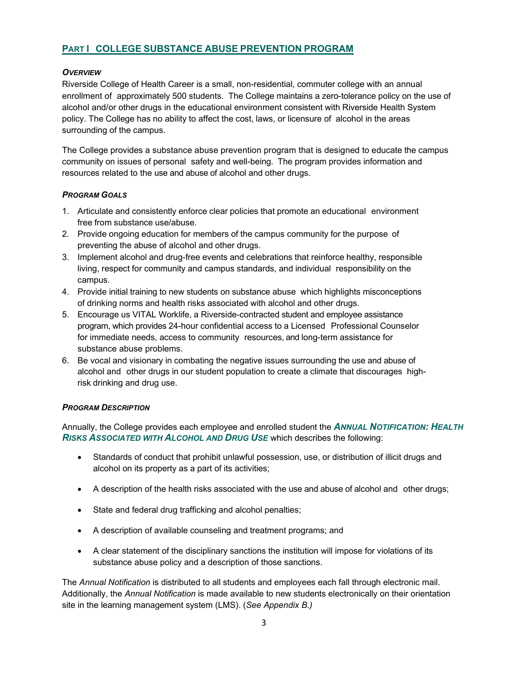# **PART I COLLEGE SUBSTANCE ABUSE PREVENTION PROGRAM**

#### *OVERVIEW*

Riverside College of Health Career is a small, non-residential, commuter college with an annual enrollment of approximately 500 students. The College maintains a zero-tolerance policy on the use of alcohol and/or other drugs in the educational environment consistent with Riverside Health System policy. The College has no ability to affect the cost, laws, or licensure of alcohol in the areas surrounding of the campus.

The College provides a substance abuse prevention program that is designed to educate the campus community on issues of personal safety and well-being. The program provides information and resources related to the use and abuse of alcohol and other drugs.

#### *PROGRAM GOALS*

- 1. Articulate and consistently enforce clear policies that promote an educational environment free from substance use/abuse.
- 2. Provide ongoing education for members of the campus community for the purpose of preventing the abuse of alcohol and other drugs.
- 3. Implement alcohol and drug-free events and celebrations that reinforce healthy, responsible living, respect for community and campus standards, and individual responsibility on the campus.
- 4. Provide initial training to new students on substance abuse which highlights misconceptions of drinking norms and health risks associated with alcohol and other drugs.
- 5. Encourage us VITAL Worklife, a Riverside-contracted student and employee assistance program, which provides 24-hour confidential access to a Licensed Professional Counselor for immediate needs, access to community resources, and long-term assistance for substance abuse problems.
- 6. Be vocal and visionary in combating the negative issues surrounding the use and abuse of alcohol and other drugs in our student population to create a climate that discourages highrisk drinking and drug use.

#### *PROGRAM DESCRIPTION*

Annually, the College provides each employee and enrolled student the *ANNUAL NOTIFICATION: HEALTH RISKS ASSOCIATED WITH ALCOHOL AND DRUG USE* which describes the following:

- Standards of conduct that prohibit unlawful possession, use, or distribution of illicit drugs and alcohol on its property as a part of its activities;
- A description of the health risks associated with the use and abuse of alcohol and other drugs;
- State and federal drug trafficking and alcohol penalties;
- A description of available counseling and treatment programs; and
- A clear statement of the disciplinary sanctions the institution will impose for violations of its substance abuse policy and a description of those sanctions.

The *Annual Notification* is distributed to all students and employees each fall through electronic mail. Additionally, the *Annual Notification* is made available to new students electronically on their orientation site in the learning management system (LMS). (*See Appendix B.)*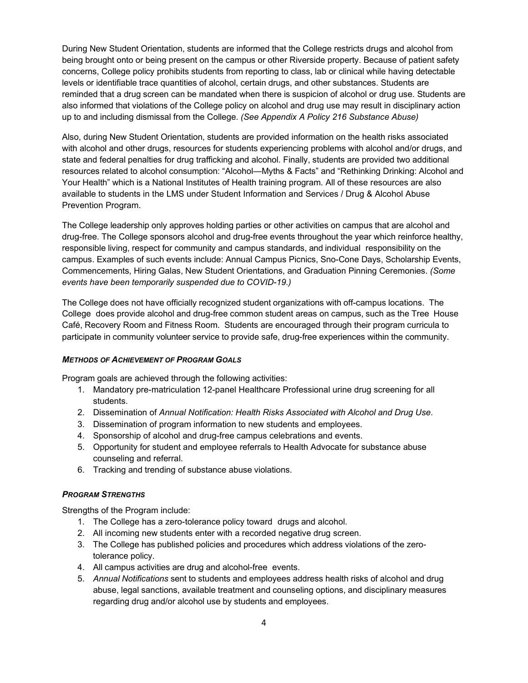During New Student Orientation, students are informed that the College restricts drugs and alcohol from being brought onto or being present on the campus or other Riverside property. Because of patient safety concerns, College policy prohibits students from reporting to class, lab or clinical while having detectable levels or identifiable trace quantities of alcohol, certain drugs, and other substances. Students are reminded that a drug screen can be mandated when there is suspicion of alcohol or drug use. Students are also informed that violations of the College policy on alcohol and drug use may result in disciplinary action up to and including dismissal from the College. *(See Appendix A Policy 216 Substance Abuse)*

Also, during New Student Orientation, students are provided information on the health risks associated with alcohol and other drugs, resources for students experiencing problems with alcohol and/or drugs, and state and federal penalties for drug trafficking and alcohol. Finally, students are provided two additional resources related to alcohol consumption: "Alcohol—Myths & Facts" and "Rethinking Drinking: Alcohol and Your Health" which is a National Institutes of Health training program. All of these resources are also available to students in the LMS under Student Information and Services / Drug & Alcohol Abuse Prevention Program.

The College leadership only approves holding parties or other activities on campus that are alcohol and drug-free. The College sponsors alcohol and drug-free events throughout the year which reinforce healthy, responsible living, respect for community and campus standards, and individual responsibility on the campus. Examples of such events include: Annual Campus Picnics, Sno-Cone Days, Scholarship Events, Commencements, Hiring Galas, New Student Orientations, and Graduation Pinning Ceremonies. *(Some events have been temporarily suspended due to COVID-19.)*

The College does not have officially recognized student organizations with off-campus locations. The College does provide alcohol and drug-free common student areas on campus, such as the Tree House Café, Recovery Room and Fitness Room. Students are encouraged through their program curricula to participate in community volunteer service to provide safe, drug-free experiences within the community.

#### *METHODS OF ACHIEVEMENT OF PROGRAM GOALS*

Program goals are achieved through the following activities:

- 1. Mandatory pre-matriculation 12-panel Healthcare Professional urine drug screening for all students.
- 2. Dissemination of *Annual Notification: Health Risks Associated with Alcohol and Drug Use*.
- 3. Dissemination of program information to new students and employees.
- 4. Sponsorship of alcohol and drug-free campus celebrations and events.
- 5. Opportunity for student and employee referrals to Health Advocate for substance abuse counseling and referral.
- 6. Tracking and trending of substance abuse violations.

#### *PROGRAM STRENGTHS*

Strengths of the Program include:

- 1. The College has a zero-tolerance policy toward drugs and alcohol.
- 2. All incoming new students enter with a recorded negative drug screen.
- 3. The College has published policies and procedures which address violations of the zerotolerance policy.
- 4. All campus activities are drug and alcohol-free events.
- 5. *Annual Notifications* sent to students and employees address health risks of alcohol and drug abuse, legal sanctions, available treatment and counseling options, and disciplinary measures regarding drug and/or alcohol use by students and employees.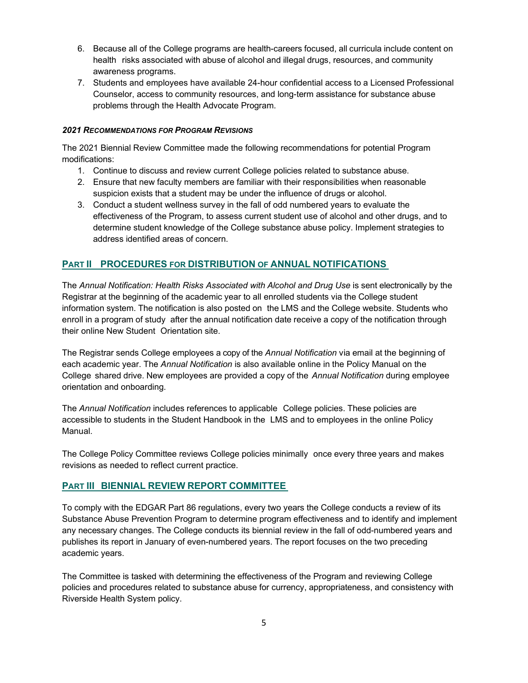- 6. Because all of the College programs are health-careers focused, all curricula include content on health risks associated with abuse of alcohol and illegal drugs, resources, and community awareness programs.
- 7. Students and employees have available 24-hour confidential access to a Licensed Professional Counselor, access to community resources, and long-term assistance for substance abuse problems through the Health Advocate Program.

#### *2021 RECOMMENDATIONS FOR PROGRAM REVISIONS*

The 2021 Biennial Review Committee made the following recommendations for potential Program modifications:

- 1. Continue to discuss and review current College policies related to substance abuse.
- 2. Ensure that new faculty members are familiar with their responsibilities when reasonable suspicion exists that a student may be under the influence of drugs or alcohol.
- 3. Conduct a student wellness survey in the fall of odd numbered years to evaluate the effectiveness of the Program, to assess current student use of alcohol and other drugs, and to determine student knowledge of the College substance abuse policy. Implement strategies to address identified areas of concern.

# **PART II PROCEDURES FOR DISTRIBUTION OF ANNUAL NOTIFICATIONS**

The *Annual Notification: Health Risks Associated with Alcohol and Drug Use* is sent electronically by the Registrar at the beginning of the academic year to all enrolled students via the College student information system. The notification is also posted on the LMS and the College website. Students who enroll in a program of study after the annual notification date receive a copy of the notification through their online New Student Orientation site.

The Registrar sends College employees a copy of the *Annual Notification* via email at the beginning of each academic year. The *Annual Notification* is also available online in the Policy Manual on the College shared drive. New employees are provided a copy of the *Annual Notification* during employee orientation and onboarding.

The *Annual Notification* includes references to applicable College policies. These policies are accessible to students in the Student Handbook in the LMS and to employees in the online Policy Manual.

The College Policy Committee reviews College policies minimally once every three years and makes revisions as needed to reflect current practice.

# **PART III BIENNIAL REVIEW REPORT COMMITTEE**

To comply with the EDGAR Part 86 regulations, every two years the College conducts a review of its Substance Abuse Prevention Program to determine program effectiveness and to identify and implement any necessary changes. The College conducts its biennial review in the fall of odd-numbered years and publishes its report in January of even-numbered years. The report focuses on the two preceding academic years.

The Committee is tasked with determining the effectiveness of the Program and reviewing College policies and procedures related to substance abuse for currency, appropriateness, and consistency with Riverside Health System policy.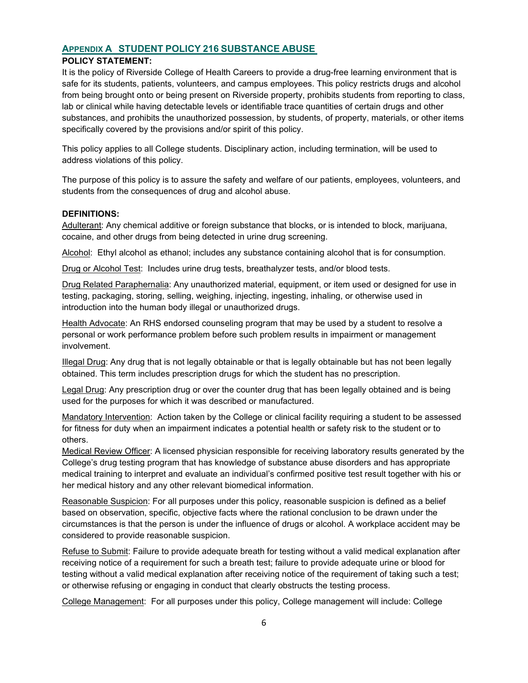# **APPENDIX A STUDENT POLICY 216 SUBSTANCE ABUSE**

#### **POLICY STATEMENT:**

It is the policy of Riverside College of Health Careers to provide a drug-free learning environment that is safe for its students, patients, volunteers, and campus employees. This policy restricts drugs and alcohol from being brought onto or being present on Riverside property, prohibits students from reporting to class, lab or clinical while having detectable levels or identifiable trace quantities of certain drugs and other substances, and prohibits the unauthorized possession, by students, of property, materials, or other items specifically covered by the provisions and/or spirit of this policy.

This policy applies to all College students. Disciplinary action, including termination, will be used to address violations of this policy.

The purpose of this policy is to assure the safety and welfare of our patients, employees, volunteers, and students from the consequences of drug and alcohol abuse.

#### **DEFINITIONS:**

Adulterant: Any chemical additive or foreign substance that blocks, or is intended to block, marijuana, cocaine, and other drugs from being detected in urine drug screening.

Alcohol: Ethyl alcohol as ethanol; includes any substance containing alcohol that is for consumption.

Drug or Alcohol Test: Includes urine drug tests, breathalyzer tests, and/or blood tests.

Drug Related Paraphernalia: Any unauthorized material, equipment, or item used or designed for use in testing, packaging, storing, selling, weighing, injecting, ingesting, inhaling, or otherwise used in introduction into the human body illegal or unauthorized drugs.

Health Advocate: An RHS endorsed counseling program that may be used by a student to resolve a personal or work performance problem before such problem results in impairment or management involvement.

Illegal Drug: Any drug that is not legally obtainable or that is legally obtainable but has not been legally obtained. This term includes prescription drugs for which the student has no prescription.

Legal Drug: Any prescription drug or over the counter drug that has been legally obtained and is being used for the purposes for which it was described or manufactured.

Mandatory Intervention: Action taken by the College or clinical facility requiring a student to be assessed for fitness for duty when an impairment indicates a potential health or safety risk to the student or to others.

Medical Review Officer: A licensed physician responsible for receiving laboratory results generated by the College's drug testing program that has knowledge of substance abuse disorders and has appropriate medical training to interpret and evaluate an individual's confirmed positive test result together with his or her medical history and any other relevant biomedical information.

Reasonable Suspicion: For all purposes under this policy, reasonable suspicion is defined as a belief based on observation, specific, objective facts where the rational conclusion to be drawn under the circumstances is that the person is under the influence of drugs or alcohol. A workplace accident may be considered to provide reasonable suspicion.

Refuse to Submit: Failure to provide adequate breath for testing without a valid medical explanation after receiving notice of a requirement for such a breath test; failure to provide adequate urine or blood for testing without a valid medical explanation after receiving notice of the requirement of taking such a test; or otherwise refusing or engaging in conduct that clearly obstructs the testing process.

College Management: For all purposes under this policy, College management will include: College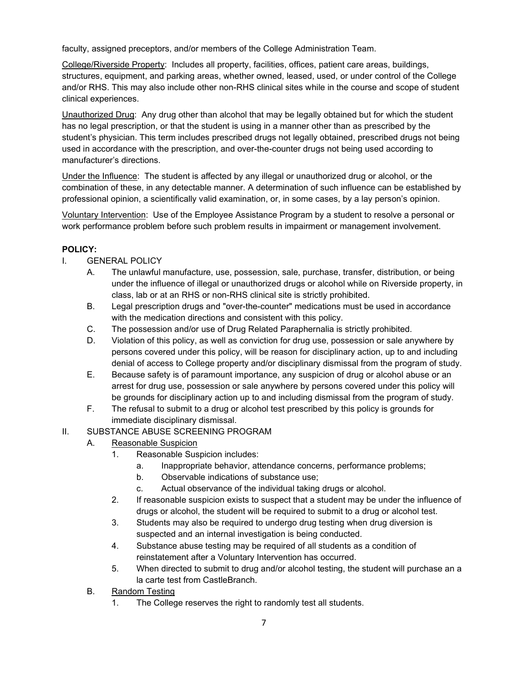faculty, assigned preceptors, and/or members of the College Administration Team.

College/Riverside Property: Includes all property, facilities, offices, patient care areas, buildings, structures, equipment, and parking areas, whether owned, leased, used, or under control of the College and/or RHS. This may also include other non-RHS clinical sites while in the course and scope of student clinical experiences.

Unauthorized Drug: Any drug other than alcohol that may be legally obtained but for which the student has no legal prescription, or that the student is using in a manner other than as prescribed by the student's physician. This term includes prescribed drugs not legally obtained, prescribed drugs not being used in accordance with the prescription, and over-the-counter drugs not being used according to manufacturer's directions.

Under the Influence: The student is affected by any illegal or unauthorized drug or alcohol, or the combination of these, in any detectable manner. A determination of such influence can be established by professional opinion, a scientifically valid examination, or, in some cases, by a lay person's opinion.

Voluntary Intervention: Use of the Employee Assistance Program by a student to resolve a personal or work performance problem before such problem results in impairment or management involvement.

# **POLICY:**

- I. GENERAL POLICY
	- A. The unlawful manufacture, use, possession, sale, purchase, transfer, distribution, or being under the influence of illegal or unauthorized drugs or alcohol while on Riverside property, in class, lab or at an RHS or non-RHS clinical site is strictly prohibited.
	- B. Legal prescription drugs and "over-the-counter" medications must be used in accordance with the medication directions and consistent with this policy.
	- C. The possession and/or use of Drug Related Paraphernalia is strictly prohibited.
	- D. Violation of this policy, as well as conviction for drug use, possession or sale anywhere by persons covered under this policy, will be reason for disciplinary action, up to and including denial of access to College property and/or disciplinary dismissal from the program of study.
	- E. Because safety is of paramount importance, any suspicion of drug or alcohol abuse or an arrest for drug use, possession or sale anywhere by persons covered under this policy will be grounds for disciplinary action up to and including dismissal from the program of study.
	- F. The refusal to submit to a drug or alcohol test prescribed by this policy is grounds for immediate disciplinary dismissal.

# II. SUBSTANCE ABUSE SCREENING PROGRAM

- A. Reasonable Suspicion
	- 1. Reasonable Suspicion includes:
		- a. Inappropriate behavior, attendance concerns, performance problems;
		- b. Observable indications of substance use;
		- c. Actual observance of the individual taking drugs or alcohol.
	- 2. If reasonable suspicion exists to suspect that a student may be under the influence of drugs or alcohol, the student will be required to submit to a drug or alcohol test.
	- 3. Students may also be required to undergo drug testing when drug diversion is suspected and an internal investigation is being conducted.
	- 4. Substance abuse testing may be required of all students as a condition of reinstatement after a Voluntary Intervention has occurred.
	- 5. When directed to submit to drug and/or alcohol testing, the student will purchase an a la carte test from CastleBranch.
- B. Random Testing
	- 1. The College reserves the right to randomly test all students.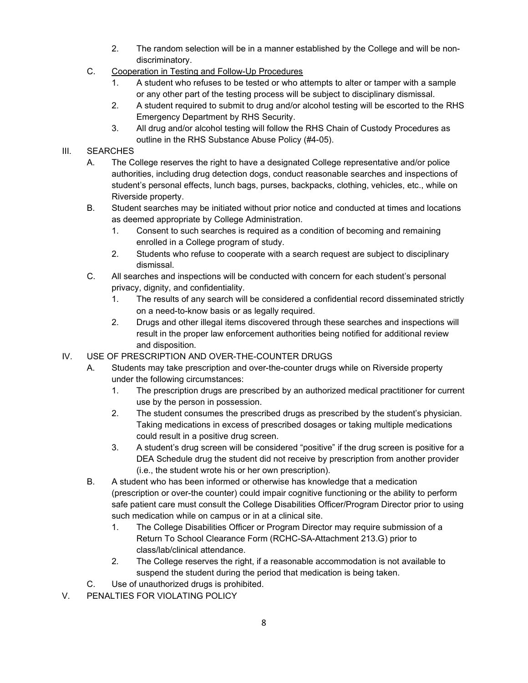- 2. The random selection will be in a manner established by the College and will be nondiscriminatory.
- C. Cooperation in Testing and Follow-Up Procedures
	- 1. A student who refuses to be tested or who attempts to alter or tamper with a sample or any other part of the testing process will be subject to disciplinary dismissal.
	- 2. A student required to submit to drug and/or alcohol testing will be escorted to the RHS Emergency Department by RHS Security.
	- 3. All drug and/or alcohol testing will follow the RHS Chain of Custody Procedures as outline in the RHS Substance Abuse Policy (#4-05).

## III. SEARCHES

- A. The College reserves the right to have a designated College representative and/or police authorities, including drug detection dogs, conduct reasonable searches and inspections of student's personal effects, lunch bags, purses, backpacks, clothing, vehicles, etc., while on Riverside property.
- B. Student searches may be initiated without prior notice and conducted at times and locations as deemed appropriate by College Administration.
	- 1. Consent to such searches is required as a condition of becoming and remaining enrolled in a College program of study.
	- 2. Students who refuse to cooperate with a search request are subject to disciplinary dismissal.
- C. All searches and inspections will be conducted with concern for each student's personal privacy, dignity, and confidentiality.
	- 1. The results of any search will be considered a confidential record disseminated strictly on a need-to-know basis or as legally required.
	- 2. Drugs and other illegal items discovered through these searches and inspections will result in the proper law enforcement authorities being notified for additional review and disposition.
- IV. USE OF PRESCRIPTION AND OVER-THE-COUNTER DRUGS
	- A. Students may take prescription and over-the-counter drugs while on Riverside property under the following circumstances:
		- 1. The prescription drugs are prescribed by an authorized medical practitioner for current use by the person in possession.
		- 2. The student consumes the prescribed drugs as prescribed by the student's physician. Taking medications in excess of prescribed dosages or taking multiple medications could result in a positive drug screen.
		- 3. A student's drug screen will be considered "positive" if the drug screen is positive for a DEA Schedule drug the student did not receive by prescription from another provider (i.e., the student wrote his or her own prescription).
	- B. A student who has been informed or otherwise has knowledge that a medication (prescription or over-the counter) could impair cognitive functioning or the ability to perform safe patient care must consult the College Disabilities Officer/Program Director prior to using such medication while on campus or in at a clinical site.
		- 1. The College Disabilities Officer or Program Director may require submission of a Return To School Clearance Form (RCHC-SA-Attachment 213.G) prior to class/lab/clinical attendance.
		- 2. The College reserves the right, if a reasonable accommodation is not available to suspend the student during the period that medication is being taken.
	- C. Use of unauthorized drugs is prohibited.
- V. PENALTIES FOR VIOLATING POLICY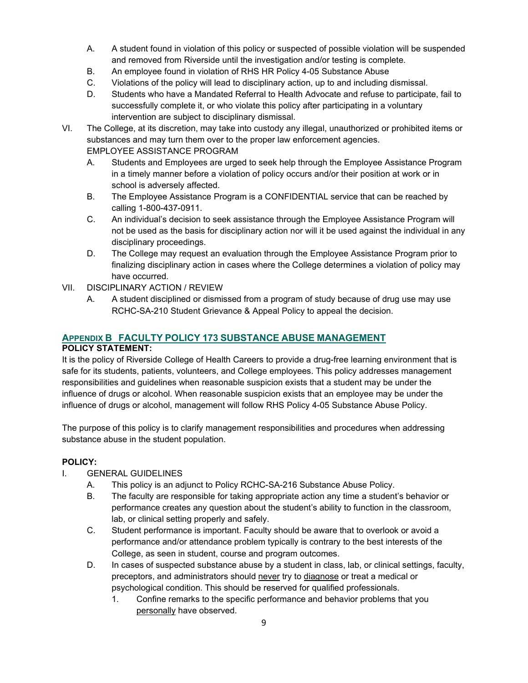- A. A student found in violation of this policy or suspected of possible violation will be suspended and removed from Riverside until the investigation and/or testing is complete.
- B. An employee found in violation of RHS HR Policy 4-05 Substance Abuse
- C. Violations of the policy will lead to disciplinary action, up to and including dismissal.
- D. Students who have a Mandated Referral to Health Advocate and refuse to participate, fail to successfully complete it, or who violate this policy after participating in a voluntary intervention are subject to disciplinary dismissal.
- VI. The College, at its discretion, may take into custody any illegal, unauthorized or prohibited items or substances and may turn them over to the proper law enforcement agencies. EMPLOYEE ASSISTANCE PROGRAM
	- A. Students and Employees are urged to seek help through the Employee Assistance Program in a timely manner before a violation of policy occurs and/or their position at work or in school is adversely affected.
	- B. The Employee Assistance Program is a CONFIDENTIAL service that can be reached by calling 1-800-437-0911.
	- C. An individual's decision to seek assistance through the Employee Assistance Program will not be used as the basis for disciplinary action nor will it be used against the individual in any disciplinary proceedings.
	- D. The College may request an evaluation through the Employee Assistance Program prior to finalizing disciplinary action in cases where the College determines a violation of policy may have occurred.
- VII. DISCIPLINARY ACTION / REVIEW
	- A. A student disciplined or dismissed from a program of study because of drug use may use RCHC-SA-210 Student Grievance & Appeal Policy to appeal the decision.

# **APPENDIX B FACULTY POLICY 173 SUBSTANCE ABUSE MANAGEMENT**

#### **POLICY STATEMENT:**

It is the policy of Riverside College of Health Careers to provide a drug-free learning environment that is safe for its students, patients, volunteers, and College employees. This policy addresses management responsibilities and guidelines when reasonable suspicion exists that a student may be under the influence of drugs or alcohol. When reasonable suspicion exists that an employee may be under the influence of drugs or alcohol, management will follow RHS Policy 4-05 Substance Abuse Policy.

The purpose of this policy is to clarify management responsibilities and procedures when addressing substance abuse in the student population.

# **POLICY:**

- I. GENERAL GUIDELINES
	- A. This policy is an adjunct to Policy RCHC-SA-216 Substance Abuse Policy.
	- B. The faculty are responsible for taking appropriate action any time a student's behavior or performance creates any question about the student's ability to function in the classroom, lab, or clinical setting properly and safely.
	- C. Student performance is important. Faculty should be aware that to overlook or avoid a performance and/or attendance problem typically is contrary to the best interests of the College, as seen in student, course and program outcomes.
	- D. In cases of suspected substance abuse by a student in class, lab, or clinical settings, faculty, preceptors, and administrators should never try to diagnose or treat a medical or psychological condition. This should be reserved for qualified professionals.
		- 1. Confine remarks to the specific performance and behavior problems that you personally have observed.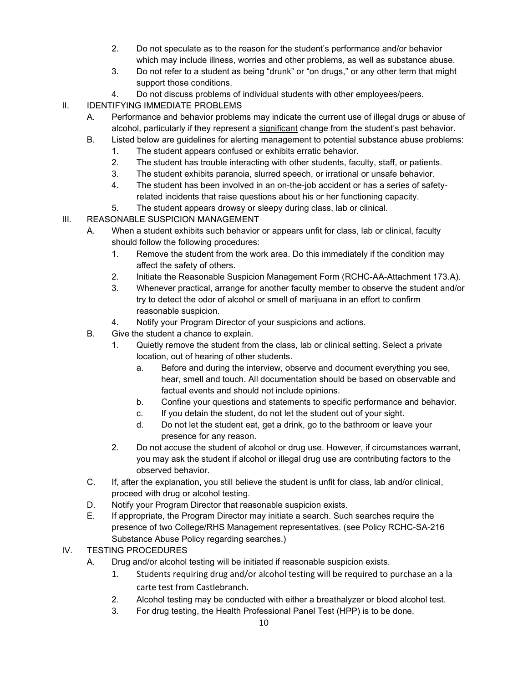- 2. Do not speculate as to the reason for the student's performance and/or behavior which may include illness, worries and other problems, as well as substance abuse.
- 3. Do not refer to a student as being "drunk" or "on drugs," or any other term that might support those conditions.
- 4. Do not discuss problems of individual students with other employees/peers.
- II. IDENTIFYING IMMEDIATE PROBLEMS
	- A. Performance and behavior problems may indicate the current use of illegal drugs or abuse of alcohol, particularly if they represent a significant change from the student's past behavior.
	- B. Listed below are guidelines for alerting management to potential substance abuse problems:
		- 1. The student appears confused or exhibits erratic behavior.
		- 2. The student has trouble interacting with other students, faculty, staff, or patients.
		- 3. The student exhibits paranoia, slurred speech, or irrational or unsafe behavior.
		- 4. The student has been involved in an on-the-job accident or has a series of safetyrelated incidents that raise questions about his or her functioning capacity.
		- 5. The student appears drowsy or sleepy during class, lab or clinical.
- III. REASONABLE SUSPICION MANAGEMENT
	- A. When a student exhibits such behavior or appears unfit for class, lab or clinical, faculty should follow the following procedures:
		- 1. Remove the student from the work area. Do this immediately if the condition may affect the safety of others.
		- 2. Initiate the Reasonable Suspicion Management Form (RCHC-AA-Attachment 173.A).
		- 3. Whenever practical, arrange for another faculty member to observe the student and/or try to detect the odor of alcohol or smell of marijuana in an effort to confirm reasonable suspicion.
		- 4. Notify your Program Director of your suspicions and actions.
	- B. Give the student a chance to explain.
		- 1. Quietly remove the student from the class, lab or clinical setting. Select a private location, out of hearing of other students.
			- a. Before and during the interview, observe and document everything you see, hear, smell and touch. All documentation should be based on observable and factual events and should not include opinions.
			- b. Confine your questions and statements to specific performance and behavior.
			- c. If you detain the student, do not let the student out of your sight.
			- d. Do not let the student eat, get a drink, go to the bathroom or leave your presence for any reason.
		- 2. Do not accuse the student of alcohol or drug use. However, if circumstances warrant, you may ask the student if alcohol or illegal drug use are contributing factors to the observed behavior.
	- C. If, after the explanation, you still believe the student is unfit for class, lab and/or clinical, proceed with drug or alcohol testing.
	- D. Notify your Program Director that reasonable suspicion exists.
	- E. If appropriate, the Program Director may initiate a search. Such searches require the presence of two College/RHS Management representatives. (see Policy RCHC-SA-216 Substance Abuse Policy regarding searches.)
- IV. TESTING PROCEDURES
	- A. Drug and/or alcohol testing will be initiated if reasonable suspicion exists.
		- 1. Students requiring drug and/or alcohol testing will be required to purchase an a la carte test from Castlebranch.
		- 2. Alcohol testing may be conducted with either a breathalyzer or blood alcohol test.
		- 3. For drug testing, the Health Professional Panel Test (HPP) is to be done.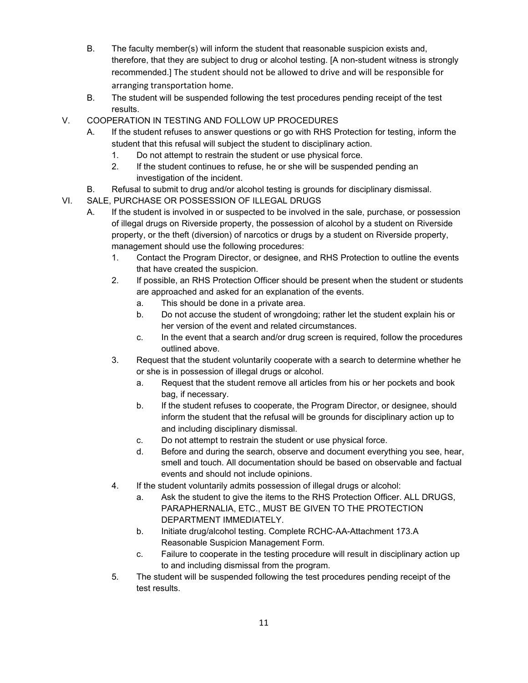- B. The faculty member(s) will inform the student that reasonable suspicion exists and, therefore, that they are subject to drug or alcohol testing. [A non-student witness is strongly recommended.] The student should not be allowed to drive and will be responsible for arranging transportation home.
- B. The student will be suspended following the test procedures pending receipt of the test results.
- V. COOPERATION IN TESTING AND FOLLOW UP PROCEDURES
	- A. If the student refuses to answer questions or go with RHS Protection for testing, inform the student that this refusal will subject the student to disciplinary action.
		- 1. Do not attempt to restrain the student or use physical force.
		- 2. If the student continues to refuse, he or she will be suspended pending an investigation of the incident.
	- B. Refusal to submit to drug and/or alcohol testing is grounds for disciplinary dismissal.
- VI. SALE, PURCHASE OR POSSESSION OF ILLEGAL DRUGS
	- A. If the student is involved in or suspected to be involved in the sale, purchase, or possession of illegal drugs on Riverside property, the possession of alcohol by a student on Riverside property, or the theft (diversion) of narcotics or drugs by a student on Riverside property, management should use the following procedures:
		- 1. Contact the Program Director, or designee, and RHS Protection to outline the events that have created the suspicion.
		- 2. If possible, an RHS Protection Officer should be present when the student or students are approached and asked for an explanation of the events.
			- a. This should be done in a private area.
			- b. Do not accuse the student of wrongdoing; rather let the student explain his or her version of the event and related circumstances.
			- c. In the event that a search and/or drug screen is required, follow the procedures outlined above.
		- 3. Request that the student voluntarily cooperate with a search to determine whether he or she is in possession of illegal drugs or alcohol.
			- a. Request that the student remove all articles from his or her pockets and book bag, if necessary.
			- b. If the student refuses to cooperate, the Program Director, or designee, should inform the student that the refusal will be grounds for disciplinary action up to and including disciplinary dismissal.
			- c. Do not attempt to restrain the student or use physical force.
			- d. Before and during the search, observe and document everything you see, hear, smell and touch. All documentation should be based on observable and factual events and should not include opinions.
		- 4. If the student voluntarily admits possession of illegal drugs or alcohol:
			- a. Ask the student to give the items to the RHS Protection Officer. ALL DRUGS, PARAPHERNALIA, ETC., MUST BE GIVEN TO THE PROTECTION DEPARTMENT IMMEDIATELY.
			- b. Initiate drug/alcohol testing. Complete RCHC-AA-Attachment 173.A Reasonable Suspicion Management Form.
			- c. Failure to cooperate in the testing procedure will result in disciplinary action up to and including dismissal from the program.
		- 5. The student will be suspended following the test procedures pending receipt of the test results.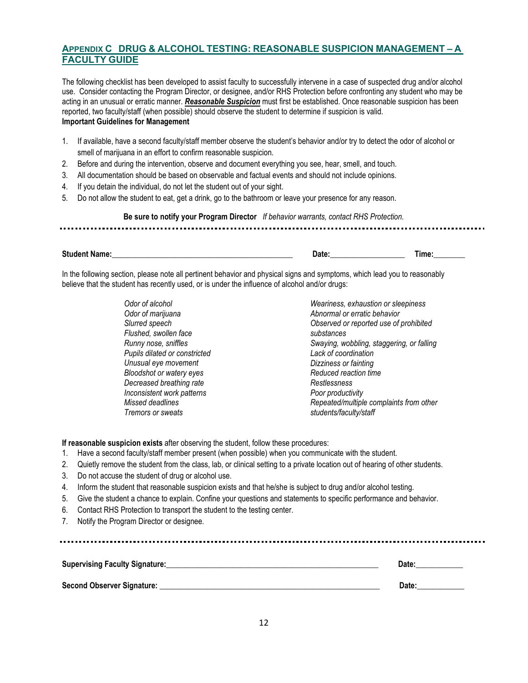# **APPENDIX C DRUG & ALCOHOL TESTING: REASONABLE SUSPICION MANAGEMENT – A FACULTY GUIDE**

The following checklist has been developed to assist faculty to successfully intervene in a case of suspected drug and/or alcohol use. Consider contacting the Program Director, or designee, and/or RHS Protection before confronting any student who may be acting in an unusual or erratic manner. *Reasonable Suspicion* must first be established. Once reasonable suspicion has been reported, two faculty/staff (when possible) should observe the student to determine if suspicion is valid. **Important Guidelines for Management**

- 1. If available, have a second faculty/staff member observe the student's behavior and/or try to detect the odor of alcohol or smell of marijuana in an effort to confirm reasonable suspicion.
- 2. Before and during the intervention, observe and document everything you see, hear, smell, and touch.
- 3. All documentation should be based on observable and factual events and should not include opinions.
- 4. If you detain the individual, do not let the student out of your sight.
- 5. Do not allow the student to eat, get a drink, go to the bathroom or leave your presence for any reason.

**Be sure to notify your Program Director** *If behavior warrants, contact RHS Protection.*

# 

#### **Student Name:\_\_\_\_\_\_\_\_\_\_\_\_\_\_\_\_\_\_\_\_\_\_\_\_\_\_\_\_\_\_\_\_\_\_\_\_\_\_\_\_\_\_\_\_\_\_ Date:\_\_\_\_\_\_\_\_\_\_\_\_\_\_\_\_\_\_\_ Time:\_\_\_\_\_\_\_\_**

In the following section, please note all pertinent behavior and physical signs and symptoms, which lead you to reasonably believe that the student has recently used, or is under the influence of alcohol and/or drugs:

> *Odor of alcohol Odor of marijuana Slurred speech Flushed, swollen face Runny nose, sniffles Pupils dilated or constricted Unusual eye movement Bloodshot or watery eyes Decreased breathing rate Inconsistent work patterns Missed deadlines Tremors or sweats Weariness, exhaustion or sleepiness Abnormal or erratic behavior Observed or reported use of prohibited substances Swaying, wobbling, staggering, or falling Lack of coordination Dizziness or fainting Reduced reaction time Restlessness Poor productivity Repeated/multiple complaints from other students/faculty/staff*

**If reasonable suspicion exists** after observing the student, follow these procedures:

- 1. Have a second faculty/staff member present (when possible) when you communicate with the student.
- 2. Quietly remove the student from the class, lab, or clinical setting to a private location out of hearing of other students.
- 3. Do not accuse the student of drug or alcohol use.
- 4. Inform the student that reasonable suspicion exists and that he/she is subject to drug and/or alcohol testing.
- 5. Give the student a chance to explain. Confine your questions and statements to specific performance and behavior.
- 6. Contact RHS Protection to transport the student to the testing center.
- 7. Notify the Program Director or designee.

| <b>Supervising Faculty Signature:</b> | Date: |
|---------------------------------------|-------|
| Second Observer Signature: _          | Date: |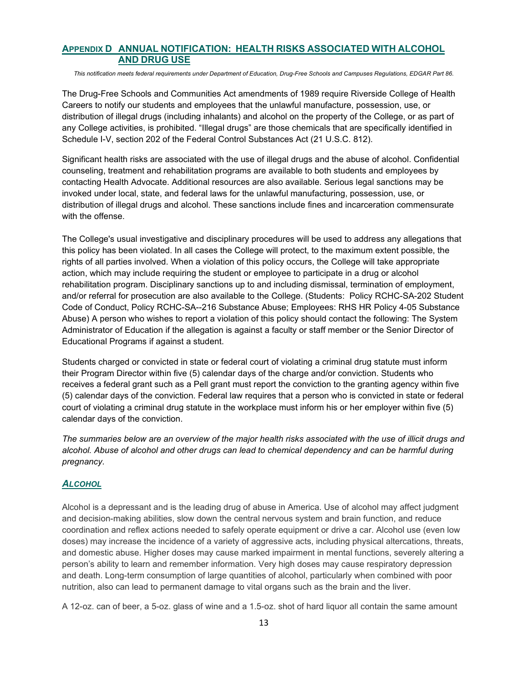### **APPENDIX D ANNUAL NOTIFICATION: HEALTH RISKS ASSOCIATED WITH ALCOHOL AND DRUG USE**

*This notification meets federal requirements under Department of Education, Drug-Free Schools and Campuses Regulations, EDGAR Part 86.*

The Drug-Free Schools and Communities Act amendments of 1989 require Riverside College of Health Careers to notify our students and employees that the unlawful manufacture, possession, use, or distribution of illegal drugs (including inhalants) and alcohol on the property of the College, or as part of any College activities, is prohibited. "Illegal drugs" are those chemicals that are specifically identified in Schedule I-V, section 202 of the Federal Control Substances Act (21 U.S.C. 812).

Significant health risks are associated with the use of illegal drugs and the abuse of alcohol. Confidential counseling, treatment and rehabilitation programs are available to both students and employees by contacting Health Advocate. Additional resources are also available. Serious legal sanctions may be invoked under local, state, and federal laws for the unlawful manufacturing, possession, use, or distribution of illegal drugs and alcohol. These sanctions include fines and incarceration commensurate with the offense.

The College's usual investigative and disciplinary procedures will be used to address any allegations that this policy has been violated. In all cases the College will protect, to the maximum extent possible, the rights of all parties involved. When a violation of this policy occurs, the College will take appropriate action, which may include requiring the student or employee to participate in a drug or alcohol rehabilitation program. Disciplinary sanctions up to and including dismissal, termination of employment, and/or referral for prosecution are also available to the College. (Students: Policy RCHC-SA-202 Student Code of Conduct, Policy RCHC-SA--216 Substance Abuse; Employees: RHS HR Policy 4-05 Substance Abuse) A person who wishes to report a violation of this policy should contact the following: The System Administrator of Education if the allegation is against a faculty or staff member or the Senior Director of Educational Programs if against a student.

Students charged or convicted in state or federal court of violating a criminal drug statute must inform their Program Director within five (5) calendar days of the charge and/or conviction. Students who receives a federal grant such as a Pell grant must report the conviction to the granting agency within five (5) calendar days of the conviction. Federal law requires that a person who is convicted in state or federal court of violating a criminal drug statute in the workplace must inform his or her employer within five (5) calendar days of the conviction.

*The summaries below are an overview of the major health risks associated with the use of illicit drugs and alcohol. Abuse of alcohol and other drugs can lead to chemical dependency and can be harmful during pregnancy.*

#### *ALCOHOL*

Alcohol is a depressant and is the leading drug of abuse in America. Use of alcohol may affect judgment and decision-making abilities, slow down the central nervous system and brain function, and reduce coordination and reflex actions needed to safely operate equipment or drive a car. Alcohol use (even low doses) may increase the incidence of a variety of aggressive acts, including physical altercations, threats, and domestic abuse. Higher doses may cause marked impairment in mental functions, severely altering a person's ability to learn and remember information. Very high doses may cause respiratory depression and death. Long-term consumption of large quantities of alcohol, particularly when combined with poor nutrition, also can lead to permanent damage to vital organs such as the brain and the liver.

A 12-oz. can of beer, a 5-oz. glass of wine and a 1.5-oz. shot of hard liquor all contain the same amount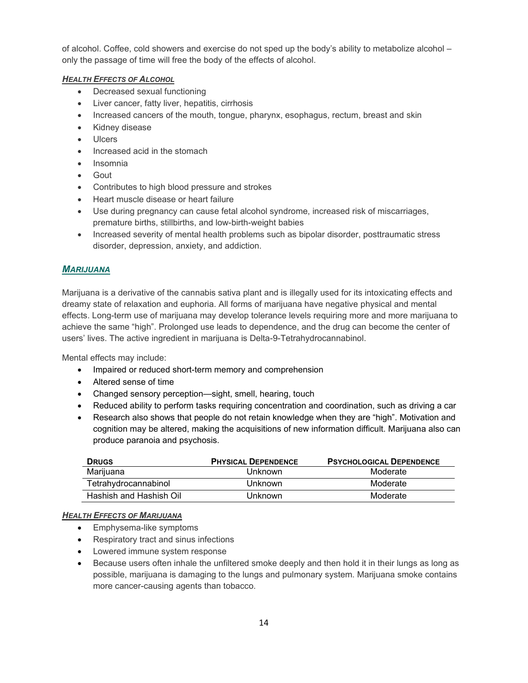of alcohol. Coffee, cold showers and exercise do not sped up the body's ability to metabolize alcohol – only the passage of time will free the body of the effects of alcohol.

#### *HEALTH EFFECTS OF ALCOHOL*

- Decreased sexual functioning
- Liver cancer, fatty liver, hepatitis, cirrhosis
- Increased cancers of the mouth, tongue, pharynx, esophagus, rectum, breast and skin
- Kidney disease
- Ulcers
- Increased acid in the stomach
- Insomnia
- Gout
- Contributes to high blood pressure and strokes
- Heart muscle disease or heart failure
- Use during pregnancy can cause fetal alcohol syndrome, increased risk of miscarriages, premature births, stillbirths, and low-birth-weight babies
- Increased severity of mental health problems such as bipolar disorder, posttraumatic stress disorder, depression, anxiety, and addiction.

## *MARIJUANA*

Marijuana is a derivative of the cannabis sativa plant and is illegally used for its intoxicating effects and dreamy state of relaxation and euphoria. All forms of marijuana have negative physical and mental effects. Long-term use of marijuana may develop tolerance levels requiring more and more marijuana to achieve the same "high". Prolonged use leads to dependence, and the drug can become the center of users' lives. The active ingredient in marijuana is Delta-9-Tetrahydrocannabinol.

Mental effects may include:

- Impaired or reduced short-term memory and comprehension
- Altered sense of time
- Changed sensory perception—sight, smell, hearing, touch
- Reduced ability to perform tasks requiring concentration and coordination, such as driving a car
- Research also shows that people do not retain knowledge when they are "high". Motivation and cognition may be altered, making the acquisitions of new information difficult. Marijuana also can produce paranoia and psychosis.

| <b>DRUGS</b>            | <b>PHYSICAL DEPENDENCE</b> | <b>PSYCHOLOGICAL DEPENDENCE</b> |
|-------------------------|----------------------------|---------------------------------|
| Marijuana               | Unknown                    | Moderate                        |
| Tetrahydrocannabinol    | Unknown                    | Moderate                        |
| Hashish and Hashish Oil | Unknown                    | Moderate                        |

#### *HEALTH EFFECTS OF MARIJUANA*

- Emphysema-like symptoms
- Respiratory tract and sinus infections
- Lowered immune system response
- Because users often inhale the unfiltered smoke deeply and then hold it in their lungs as long as possible, marijuana is damaging to the lungs and pulmonary system. Marijuana smoke contains more cancer-causing agents than tobacco.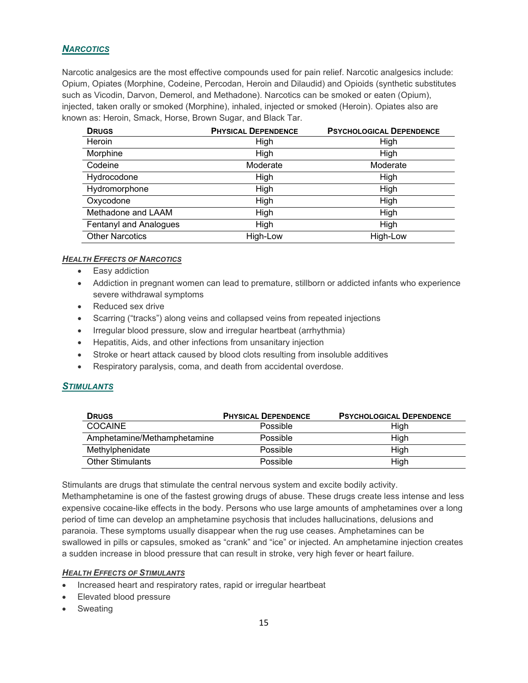# *NARCOTICS*

Narcotic analgesics are the most effective compounds used for pain relief. Narcotic analgesics include: Opium, Opiates (Morphine, Codeine, Percodan, Heroin and Dilaudid) and Opioids (synthetic substitutes such as Vicodin, Darvon, Demerol, and Methadone). Narcotics can be smoked or eaten (Opium), injected, taken orally or smoked (Morphine), inhaled, injected or smoked (Heroin). Opiates also are known as: Heroin, Smack, Horse, Brown Sugar, and Black Tar.

| <b>DRUGS</b>           | <b>PHYSICAL DEPENDENCE</b> | <b>PSYCHOLOGICAL DEPENDENCE</b> |
|------------------------|----------------------------|---------------------------------|
| Heroin                 | High                       | High                            |
| Morphine               | High                       | High                            |
| Codeine                | Moderate                   | Moderate                        |
| Hydrocodone            | High                       | High                            |
| Hydromorphone          | High                       | High                            |
| Oxycodone              | High                       | High                            |
| Methadone and LAAM     | High                       | High                            |
| Fentanyl and Analogues | High                       | High                            |
| <b>Other Narcotics</b> | High-Low                   | High-Low                        |

#### *HEALTH EFFECTS OF NARCOTICS*

- Easy addiction
- Addiction in pregnant women can lead to premature, stillborn or addicted infants who experience severe withdrawal symptoms
- Reduced sex drive
- Scarring ("tracks") along veins and collapsed veins from repeated injections
- Irregular blood pressure, slow and irregular heartbeat (arrhythmia)
- Hepatitis, Aids, and other infections from unsanitary injection
- Stroke or heart attack caused by blood clots resulting from insoluble additives
- Respiratory paralysis, coma, and death from accidental overdose.

#### *STIMULANTS*

| <b>DRUGS</b>                | <b>PHYSICAL DEPENDENCE</b> | <b>PSYCHOLOGICAL DEPENDENCE</b> |
|-----------------------------|----------------------------|---------------------------------|
| COCAINE                     | Possible                   | High                            |
| Amphetamine/Methamphetamine | Possible                   | High                            |
| Methylphenidate             | Possible                   | High                            |
| <b>Other Stimulants</b>     | Possible                   | High                            |

Stimulants are drugs that stimulate the central nervous system and excite bodily activity. Methamphetamine is one of the fastest growing drugs of abuse. These drugs create less intense and less expensive cocaine-like effects in the body. Persons who use large amounts of amphetamines over a long period of time can develop an amphetamine psychosis that includes hallucinations, delusions and paranoia. These symptoms usually disappear when the rug use ceases. Amphetamines can be swallowed in pills or capsules, smoked as "crank" and "ice" or injected. An amphetamine injection creates a sudden increase in blood pressure that can result in stroke, very high fever or heart failure.

#### *HEALTH EFFECTS OF STIMULANTS*

- Increased heart and respiratory rates, rapid or irregular heartbeat
- Elevated blood pressure
- **Sweating**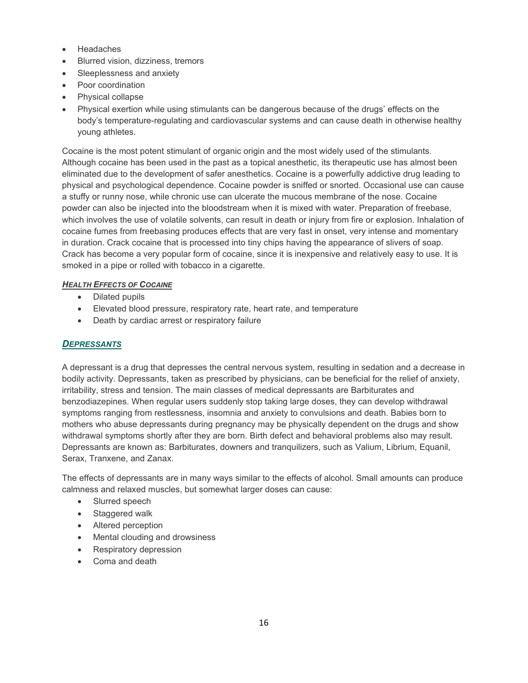- **Headaches**
- Blurred vision, dizziness, tremors
- Sleeplessness and anxiety
- Poor coordination
- Physical collapse
- Physical exertion while using stimulants can be dangerous because of the drugs' effects on the body's temperature-regulating and cardiovascular systems and can cause death in otherwise healthy young athletes.

Cocaine is the most potent stimulant of organic origin and the most widely used of the stimulants. Although cocaine has been used in the past as a topical anesthetic, its therapeutic use has almost been eliminated due to the development of safer anesthetics. Cocaine is a powerfully addictive drug leading to physical and psychological dependence. Cocaine powder is sniffed or snorted. Occasional use can cause a stuffy or runny nose, while chronic use can ulcerate the mucous membrane of the nose. Cocaine powder can also be injected into the bloodstream when it is mixed with water. Preparation of freebase, which involves the use of volatile solvents, can result in death or injury from fire or explosion. Inhalation of cocaine fumes from freebasing produces effects that are very fast in onset, very intense and momentary in duration. Crack cocaine that is processed into tiny chips having the appearance of slivers of soap. Crack has become a very popular form of cocaine, since it is inexpensive and relatively easy to use. It is smoked in a pipe or rolled with tobacco in a cigarette.

#### *HEALTH EFFECTS OF COCAINE*

- Dilated pupils
- Elevated blood pressure, respiratory rate, heart rate, and temperature
- Death by cardiac arrest or respiratory failure

#### *DEPRESSANTS*

A depressant is a drug that depresses the central nervous system, resulting in sedation and a decrease in bodily activity. Depressants, taken as prescribed by physicians, can be beneficial for the relief of anxiety, irritability, stress and tension. The main classes of medical depressants are Barbiturates and benzodiazepines. When regular users suddenly stop taking large doses, they can develop withdrawal symptoms ranging from restlessness, insomnia and anxiety to convulsions and death. Babies born to mothers who abuse depressants during pregnancy may be physically dependent on the drugs and show withdrawal symptoms shortly after they are born. Birth defect and behavioral problems also may result. Depressants are known as: Barbiturates, downers and tranquilizers, such as Valium, Librium, Equanil, Serax, Tranxene, and Zanax.

The effects of depressants are in many ways similar to the effects of alcohol. Small amounts can produce calmness and relaxed muscles, but somewhat larger doses can cause:

- Slurred speech
- Staggered walk
- Altered perception
- Mental clouding and drowsiness
- Respiratory depression
- Coma and death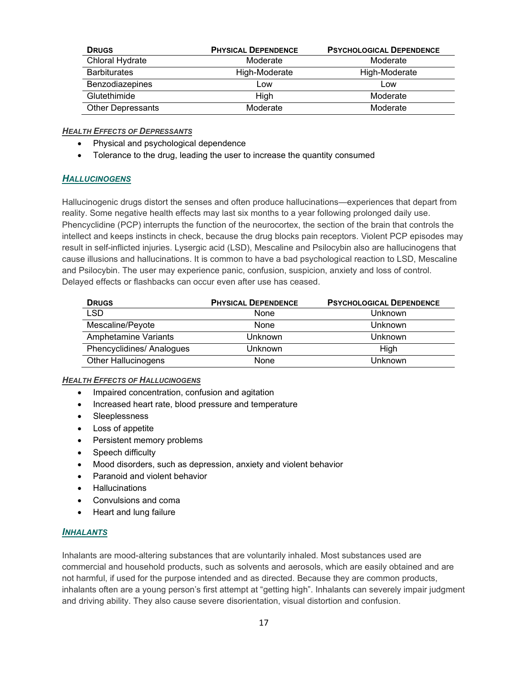| <b>DRUGS</b>             | <b>PHYSICAL DEPENDENCE</b> | <b>PSYCHOLOGICAL DEPENDENCE</b> |
|--------------------------|----------------------------|---------------------------------|
| Chloral Hydrate          | Moderate                   | Moderate                        |
| <b>Barbiturates</b>      | High-Moderate              | High-Moderate                   |
| Benzodiazepines          | Low                        | Low                             |
| Glutethimide             | High                       | Moderate                        |
| <b>Other Depressants</b> | Moderate                   | Moderate                        |

#### *HEALTH EFFECTS OF DEPRESSANTS*

- Physical and psychological dependence
- Tolerance to the drug, leading the user to increase the quantity consumed

#### *HALLUCINOGENS*

Hallucinogenic drugs distort the senses and often produce hallucinations—experiences that depart from reality. Some negative health effects may last six months to a year following prolonged daily use. Phencyclidine (PCP) interrupts the function of the neurocortex, the section of the brain that controls the intellect and keeps instincts in check, because the drug blocks pain receptors. Violent PCP episodes may result in self-inflicted injuries. Lysergic acid (LSD), Mescaline and Psilocybin also are hallucinogens that cause illusions and hallucinations. It is common to have a bad psychological reaction to LSD, Mescaline and Psilocybin. The user may experience panic, confusion, suspicion, anxiety and loss of control. Delayed effects or flashbacks can occur even after use has ceased.

| <b>DRUGS</b>                | <b>PHYSICAL DEPENDENCE</b> | <b>PSYCHOLOGICAL DEPENDENCE</b> |
|-----------------------------|----------------------------|---------------------------------|
| LSD                         | None                       | Unknown                         |
| Mescaline/Peyote            | None                       | Unknown                         |
| <b>Amphetamine Variants</b> | Unknown                    | Unknown                         |
| Phencyclidines/ Analogues   | Unknown                    | High                            |
| <b>Other Hallucinogens</b>  | None                       | Unknown                         |

#### *HEALTH EFFECTS OF HALLUCINOGENS*

- Impaired concentration, confusion and agitation
- Increased heart rate, blood pressure and temperature
- Sleeplessness
- Loss of appetite
- Persistent memory problems
- Speech difficulty
- Mood disorders, such as depression, anxiety and violent behavior
- Paranoid and violent behavior
- **Hallucinations**
- Convulsions and coma
- Heart and lung failure

#### *INHALANTS*

Inhalants are mood-altering substances that are voluntarily inhaled. Most substances used are commercial and household products, such as solvents and aerosols, which are easily obtained and are not harmful, if used for the purpose intended and as directed. Because they are common products, inhalants often are a young person's first attempt at "getting high". Inhalants can severely impair judgment and driving ability. They also cause severe disorientation, visual distortion and confusion.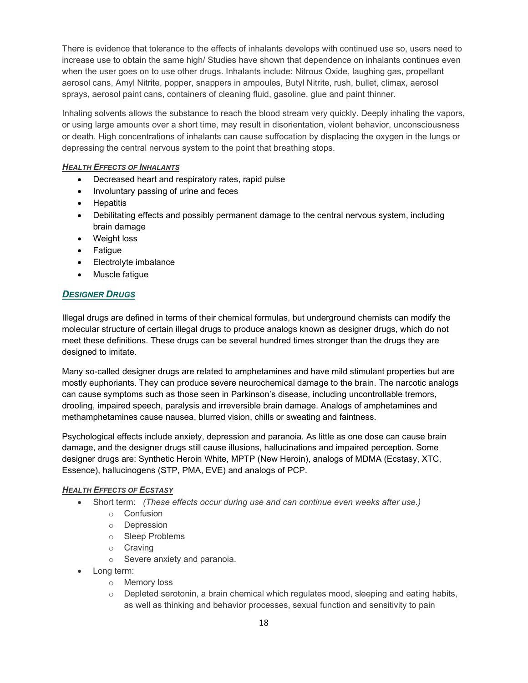There is evidence that tolerance to the effects of inhalants develops with continued use so, users need to increase use to obtain the same high/ Studies have shown that dependence on inhalants continues even when the user goes on to use other drugs. Inhalants include: Nitrous Oxide, laughing gas, propellant aerosol cans, Amyl Nitrite, popper, snappers in ampoules, Butyl Nitrite, rush, bullet, climax, aerosol sprays, aerosol paint cans, containers of cleaning fluid, gasoline, glue and paint thinner.

Inhaling solvents allows the substance to reach the blood stream very quickly. Deeply inhaling the vapors, or using large amounts over a short time, may result in disorientation, violent behavior, unconsciousness or death. High concentrations of inhalants can cause suffocation by displacing the oxygen in the lungs or depressing the central nervous system to the point that breathing stops.

#### *HEALTH EFFECTS OF INHALANTS*

- Decreased heart and respiratory rates, rapid pulse
- Involuntary passing of urine and feces
- Hepatitis
- Debilitating effects and possibly permanent damage to the central nervous system, including brain damage
- Weight loss
- Fatigue
- Electrolyte imbalance
- Muscle fatigue

#### *DESIGNER DRUGS*

Illegal drugs are defined in terms of their chemical formulas, but underground chemists can modify the molecular structure of certain illegal drugs to produce analogs known as designer drugs, which do not meet these definitions. These drugs can be several hundred times stronger than the drugs they are designed to imitate.

Many so-called designer drugs are related to amphetamines and have mild stimulant properties but are mostly euphoriants. They can produce severe neurochemical damage to the brain. The narcotic analogs can cause symptoms such as those seen in Parkinson's disease, including uncontrollable tremors, drooling, impaired speech, paralysis and irreversible brain damage. Analogs of amphetamines and methamphetamines cause nausea, blurred vision, chills or sweating and faintness.

Psychological effects include anxiety, depression and paranoia. As little as one dose can cause brain damage, and the designer drugs still cause illusions, hallucinations and impaired perception. Some designer drugs are: Synthetic Heroin White, MPTP (New Heroin), analogs of MDMA (Ecstasy, XTC, Essence), hallucinogens (STP, PMA, EVE) and analogs of PCP.

#### *HEALTH EFFECTS OF ECSTASY*

- Short term: *(These effects occur during use and can continue even weeks after use.)*
	- o Confusion
	- o Depression
	- o Sleep Problems
	- o Craving
	- o Severe anxiety and paranoia.
- Long term:
	- o Memory loss
	- $\circ$  Depleted serotonin, a brain chemical which regulates mood, sleeping and eating habits, as well as thinking and behavior processes, sexual function and sensitivity to pain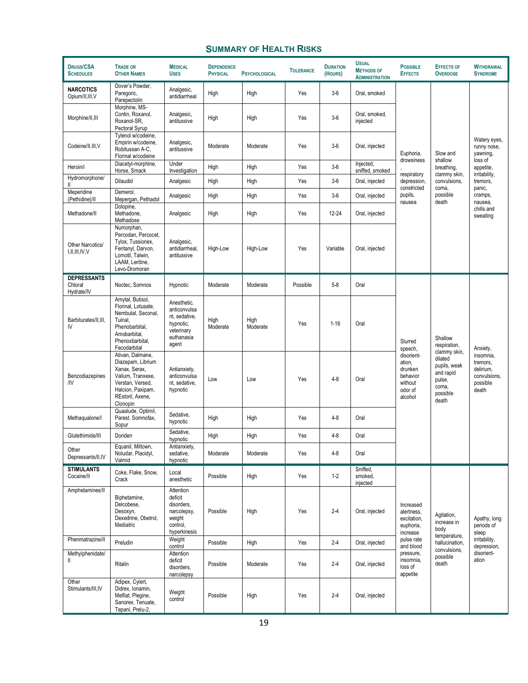# **SUMMARY OF HEALTH RISKS**

| <b>DRUGS/CSA</b><br><b>SCHEDULES</b>        | <b>TRADE OR</b><br><b>OTHER NAMES</b>                                                                                                                | <b>MEDICAL</b><br><b>USES</b>                                                                  | <b>DEPENDENCE</b><br><b>PHYSICAL</b> | <b>PSYCHOLOGICAL</b> | <b>TOLERANCE</b> | <b>DURATION</b><br>(HOURS) | <b>USUAL</b><br><b>METHODS OF</b><br><b>ADMINISTRATION</b> | <b>POSSIBLE</b><br><b>EFFECTS</b>                                                                                               | <b>EFFECTS OF</b><br><b>OVERDOSE</b>      | <b>WITHDRAWAL</b><br><b>SYNDROME</b>                                    |
|---------------------------------------------|------------------------------------------------------------------------------------------------------------------------------------------------------|------------------------------------------------------------------------------------------------|--------------------------------------|----------------------|------------------|----------------------------|------------------------------------------------------------|---------------------------------------------------------------------------------------------------------------------------------|-------------------------------------------|-------------------------------------------------------------------------|
| <b>NARCOTICS</b><br>Opium/II, III, V        | Dover's Powder.<br>Paregoric,<br>Parepectolin                                                                                                        | Analgesic,<br>antidiarrheal                                                                    | High                                 | High                 | Yes              | $3-6$                      | Oral, smoked                                               |                                                                                                                                 |                                           |                                                                         |
| Morphine/II, III                            | Morphine, MS-<br>Contin, Roxanol,<br>Roxanol-SR,<br>Pectoral Syrup                                                                                   | Analgesic,<br>antitussive                                                                      | High                                 | High                 | Yes              | $3-6$                      | Oral, smoked,<br>injected                                  |                                                                                                                                 |                                           |                                                                         |
| Codeine/II, III, V                          | Tylenol w/codeine,<br>Empirin w/codeine,<br>Robitussan A-C,<br>Florinal w/codeine                                                                    | Analgesic,<br>antitussive                                                                      | Moderate                             | Moderate             | Yes              | $3-6$                      | Oral, injected                                             | Euphoria,                                                                                                                       | Slow and                                  | Watery eyes,<br>runny nose,<br>yawning,                                 |
| Heroin/i                                    | Diacetyl-morphine,<br>Horse, Smack                                                                                                                   | Under<br>Investigation                                                                         | High                                 | High                 | Yes              | $3-6$                      | Injected,<br>sniffed, smoked                               | drowsiness                                                                                                                      | shallow<br>breathing,                     | loss of<br>appetite,                                                    |
| Hydromorphone/                              | Dilaudid                                                                                                                                             | Analgesic                                                                                      | High                                 | High                 | Yes              | $3-6$                      | Oral, injected                                             | respiratory<br>depression,                                                                                                      | clammy skin,<br>convulsions.              | irritability,<br>tremors,                                               |
| Meperidine<br>(Pethidine)/II                | Demerol,<br>Mepergan, Pethadol                                                                                                                       | Analgesic                                                                                      | High                                 | High                 | Yes              | $3-6$                      | Oral, injected                                             | constricted<br>pupils,<br>nausea                                                                                                | coma,<br>possible<br>death                | panic,<br>cramps,<br>nausea,                                            |
| Methadone/II                                | Dolopine,<br>Methadone,<br>Methadose                                                                                                                 | Analgesic                                                                                      | High                                 | High                 | Yes              | 12-24                      | Oral, injected                                             |                                                                                                                                 |                                           | chills and<br>sweating                                                  |
| Other Narcotics/<br>I, II, III, IV, V       | Numorphan,<br>Percodan, Percocet,<br>Tylox, Tussionex,<br>Fentanyl, Darvon,<br>Lomotil, Talwin,<br>LAAM, Leritine,<br>Levo-Dromoran                  | Analgesic,<br>antidiarrheal.<br>antitussive                                                    | High-Low                             | High-Low             | Yes              | Variable                   | Oral, injected                                             |                                                                                                                                 |                                           |                                                                         |
| <b>DEPRESSANTS</b><br>Chloral<br>Hydrate/IV | Noctec, Somnos                                                                                                                                       | Hypnotic                                                                                       | Moderate                             | Moderate             | Possible         | $5 - 8$                    | Oral                                                       |                                                                                                                                 |                                           |                                                                         |
| Barbiturates/II, III,<br>IV                 | Amytal, Butisol,<br>Florinal, Lotusate,<br>Nembutal, Seconal,<br>Tuinal,<br>Phenobarbital,<br>Amobarbital,<br>Phenoxbarbital,<br>Fecodarbital        | Anesthetic,<br>anticonvulsa<br>nt, sedative,<br>hypnotic,<br>veterinary<br>euthanasia<br>agent | High<br>Moderate                     | High<br>Moderate     | Yes              | $1 - 16$                   | Oral                                                       | Slurred<br>speech,                                                                                                              | Shallow<br>respiration,                   | Anxiety,                                                                |
| Benzodiazepines<br>/IV                      | Ativan, Dalmane,<br>Diazepam, Librium<br>Xanax, Serax,<br>Valium, Tranxexe,<br>Verstan, Versed,<br>Halcion, Paxipam,<br>REstoril, Axene,<br>Clonopin | Antianxiety,<br>anticonvulsa<br>nt, sedative,<br>hypnotic                                      | Low                                  | Low                  | Yes              | $4 - 8$                    | Oral                                                       | disorient-<br>dilated<br>ation,<br>drunken<br>behavior<br>pulse,<br>without<br>coma,<br>odor of<br>possible<br>alcohol<br>death | clammy skin,<br>pupils, weak<br>and rapid | insomnia,<br>tremors,<br>delirium,<br>convulsions,<br>possible<br>death |
| Methaqualone/I                              | Quaalude, Optimil,<br>Parest, Somnofax,<br>Sopur                                                                                                     | Sedative,<br>hypnotic                                                                          | High                                 | High                 | Yes              | $4 - 8$                    | Oral                                                       |                                                                                                                                 |                                           |                                                                         |
| Glutethimide/III                            | Doriden                                                                                                                                              | Sedative,<br>hypnotic                                                                          | High                                 | High                 | Yes              | $4 - 8$                    | Oral                                                       |                                                                                                                                 |                                           |                                                                         |
| Other<br>Depressants/II, IV                 | Equanil, Miltown,<br>Noludar, Placidyl,<br>Valmid                                                                                                    | Antianxiety,<br>sedative,<br>hypnotic                                                          | Moderate                             | Moderate             | Yes              | $4 - 8$                    | Oral                                                       |                                                                                                                                 |                                           |                                                                         |
| <b>STIMULANTS</b><br>Cocaine/II             | Coke, Flake, Snow,<br>Crack                                                                                                                          | Local<br>anesthetic                                                                            | Possible                             | High                 | Yes              | $1 - 2$                    | Sniffed,<br>smoked,<br>injected                            |                                                                                                                                 |                                           |                                                                         |
| Amphetamines/II                             | Biphetamine,<br>Delcobese,<br>Desoxyn,<br>Dexedrine, Obetrol,<br>Mediatric                                                                           | Attention<br>deficit<br>disorders,<br>narcolepsy,<br>weight<br>control,<br>hyperkinesis        | Possible                             | High                 | Yes              | $2 - 4$                    | Oral, injected                                             | Increased<br>alertness,<br>excitation,<br>euphoria,<br>increase                                                                 | Agitation,<br>increase in<br>body         | Apathy, long<br>periods of<br>sleep                                     |
| Phenmatrazine/II                            | Preludin                                                                                                                                             | Weight<br>control                                                                              | Possible                             | High                 | Yes              | $2 - 4$                    | Oral, injected                                             | pulse rate<br>and blood<br>pressure,<br>insomnia,<br>loss of<br>appetite                                                        | temperature,<br>hallucination,            | irritability,<br>depression,                                            |
| Methylphenidate/<br>Ш.                      | Ritalin                                                                                                                                              | Attention<br>deficit<br>disorders,<br>narcolepsy                                               | Possible                             | Moderate             | Yes              | $2 - 4$                    | Oral, injected                                             |                                                                                                                                 | convulsions,<br>possible<br>death         | disorient-<br>ation                                                     |
| Other<br>Stimulants/III, IV                 | Adipex, Cylert,<br>Didrex, Ionamin,<br>Melfiat, Plegine,<br>Sanorex, Tenuate,<br>Tepani, Prelu-2,                                                    | Weight<br>control                                                                              | Possible                             | High                 | Yes              | $2 - 4$                    | Oral, injected                                             |                                                                                                                                 |                                           |                                                                         |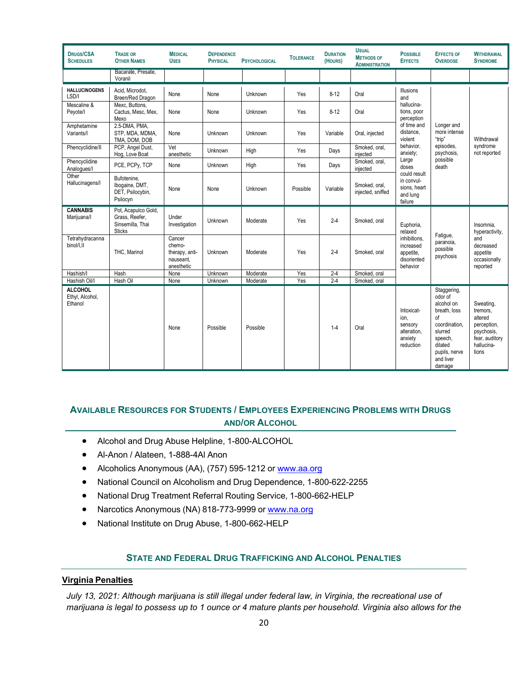| <b>DRUGS/CSA</b><br><b>SCHEDULES</b>         | <b>TRADE OR</b><br><b>OTHER NAMES</b>                                      | <b>MEDICAL</b><br><b>USES</b>                                 | <b>DEPENDENCE</b><br><b>PHYSICAL</b> | <b>PSYCHOLOGICAL</b> | <b>TOLERANCE</b> | <b>DURATION</b><br>(HOURS) | <b>USUAL</b><br><b>METHODS OF</b><br><b>ADMINISTRATION</b> | <b>POSSIBLE</b><br><b>EFFECTS</b>                                    | <b>EFFECTS OF</b><br><b>OVERDOSE</b>                                                                                                                 | <b>WITHDRAWAL</b><br><b>SYNDROME</b>                                                                   |
|----------------------------------------------|----------------------------------------------------------------------------|---------------------------------------------------------------|--------------------------------------|----------------------|------------------|----------------------------|------------------------------------------------------------|----------------------------------------------------------------------|------------------------------------------------------------------------------------------------------------------------------------------------------|--------------------------------------------------------------------------------------------------------|
|                                              | Bacarate, Presate,<br>Voranil                                              |                                                               |                                      |                      |                  |                            |                                                            |                                                                      |                                                                                                                                                      |                                                                                                        |
| <b>HALLUCINOGENS</b><br>LSD/I                | Acid. Microdot.<br>Breen/Red Dragon                                        | None                                                          | None                                 | Unknown              | Yes              | $8 - 12$                   | Oral                                                       | <b>Illusions</b><br>and                                              |                                                                                                                                                      | Withdrawal                                                                                             |
| Mescaline &<br>Peyote/I                      | Mexc, Buttons,<br>Cactus, Mesc, Mex,<br>Mexo                               | None                                                          | None                                 | Unknown              | Yes              | $8 - 12$                   | Oral                                                       | hallucina-<br>tions, poor<br>perception                              |                                                                                                                                                      |                                                                                                        |
| Amphetamine<br>Variants/I                    | 2.5-DMA, PMA,<br>STP. MDA. MDMA.<br>TMA, DOM, DOB                          | None                                                          | Unknown                              | Unknown              | Yes              | Variable                   | Oral, injected                                             | of time and<br>distance,<br>violent                                  | Longer and<br>more intense<br>"trip"<br>episodes.<br>psychosis.<br>possible<br>death                                                                 |                                                                                                        |
| Phencyclidine/II                             | PCP, Angel Dust,<br>Hog, Love Boat                                         | Vet<br>anesthetic                                             | Unknown                              | High                 | Yes              | Days                       | Smoked, oral,<br>injected                                  | behavior,<br>anxiety;                                                |                                                                                                                                                      | syndrome<br>not reported                                                                               |
| Phencyclidine<br>Analogues/I                 | PCE, PCPy, TCP                                                             | None                                                          | Unknown                              | High                 | <b>Yes</b>       | Days                       | Smoked, oral,<br>injected                                  | Large<br>doses                                                       |                                                                                                                                                      |                                                                                                        |
| Other<br>Hallucinagens/I                     | Bufotenine.<br>Ibogaine, DMT.<br>DET, Psilocybin,<br>Psilocyn              | None                                                          | None                                 | Unknown              | Possible         | Variable                   | Smoked, oral,<br>injected, sniffed                         | could result<br>in convul-<br>sions, heart<br>and lung<br>failure    |                                                                                                                                                      |                                                                                                        |
| <b>CANNABIS</b><br>Marijuana/I               | Pot, Acapulco Gold,<br>Grass. Reefer.<br>Sinsemilla, Thai<br><b>Sticks</b> | Under<br>Investigation                                        | Unknown                              | Moderate             | Yes              | $2 - 4$                    | Smoked, oral                                               | Euphoria,<br>relaxed                                                 | Fatigue,<br>paranoia,<br>possible<br>psychosis                                                                                                       | Insomnia.<br>hyperactivity,                                                                            |
| Tetrahydracanna<br>binol/l.ll                | THC. Marinol                                                               | Cancer<br>chemo-<br>therapy, anti-<br>nauseant.<br>anesthetic | Unknown                              | Moderate             | Yes              | $2 - 4$                    | Smoked, oral                                               | inhibitions.<br>increased<br>appetite.<br>disoriented<br>behavior    |                                                                                                                                                      | and<br>decreased<br>appetite<br>occasionally<br>reported                                               |
| Hashish/I                                    | Hash                                                                       | None                                                          | Unknown                              | Moderate             | Yes              | $2 - 4$                    | Smoked, oral                                               |                                                                      |                                                                                                                                                      |                                                                                                        |
| Hashish Oil/I                                | Hash Oil                                                                   | None                                                          | Unknown                              | Moderate             | Yes              | $2 - 4$                    | Smoked, oral                                               |                                                                      |                                                                                                                                                      |                                                                                                        |
| <b>ALCOHOL</b><br>Ethyl, Alcohol,<br>Ethanol |                                                                            | None                                                          | Possible                             | Possible             |                  | $1 - 4$                    | Oral                                                       | Intoxicat-<br>ion.<br>sensory<br>alteration,<br>anxiety<br>reduction | Staggering,<br>odor of<br>alcohol on<br>breath, loss<br>of<br>coordination,<br>slurred<br>speech,<br>dilated<br>pupils, nerve<br>and liver<br>damage | Sweating,<br>tremors.<br>altered<br>perception,<br>psychosis.<br>fear, auditory<br>hallucina-<br>tions |

# **AVAILABLE RESOURCES FOR STUDENTS / EMPLOYEES EXPERIENCING PROBLEMS WITH DRUGS AND/OR ALCOHOL**

- Alcohol and Drug Abuse Helpline, 1-800-ALCOHOL
- Al-Anon / Alateen, 1-888-4Al Anon
- Alcoholics Anonymous (AA), (757) 595-1212 or [www.aa.org](http://www.aa.org/)
- National Council on Alcoholism and Drug Dependence, 1-800-622-2255
- National Drug Treatment Referral Routing Service, 1-800-662-HELP
- Narcotics Anonymous (NA) 818-773-9999 or [www.na.org](http://www.na.org/)
- National Institute on Drug Abuse, 1-800-662-HELP

## **STATE AND FEDERAL DRUG TRAFFICKING AND ALCOHOL PENALTIES**

#### **Virginia Penalties**

*July 13, 2021: Although marijuana is still illegal under federal law, in Virginia, the recreational use of marijuana is legal to possess up to 1 ounce or 4 mature plants per household. Virginia also allows for the*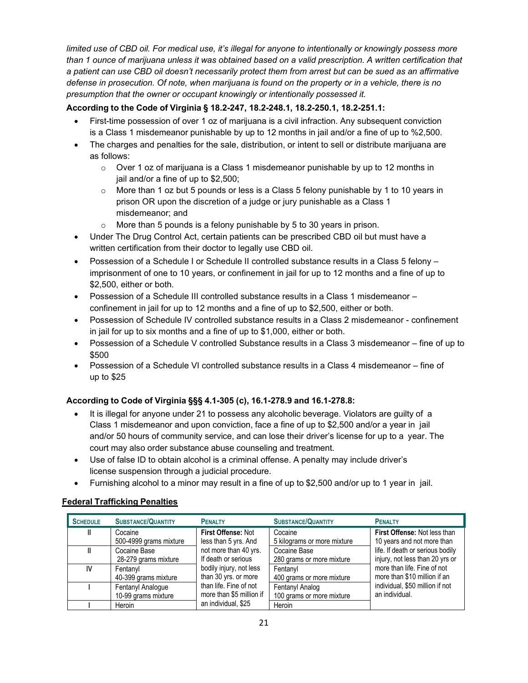*limited use of CBD oil. For medical use, it's illegal for anyone to intentionally or knowingly possess more than 1 ounce of marijuana unless it was obtained based on a valid prescription. A written certification that a patient can use CBD oil doesn't necessarily protect them from arrest but can be sued as an affirmative defense in prosecution. Of note, when marijuana is found on the property or in a vehicle, there is no presumption that the owner or occupant knowingly or intentionally possessed it.*

### **According to the Code of Virginia § 18.2-247, 18.2-248.1, 18.2-250.1, 18.2-251.1:**

- First-time possession of over 1 oz of marijuana is a civil infraction. Any subsequent conviction is a Class 1 misdemeanor punishable by up to 12 months in jail and/or a fine of up to %2,500.
- The charges and penalties for the sale, distribution, or intent to sell or distribute marijuana are as follows:
	- $\circ$  Over 1 oz of marijuana is a Class 1 misdemeanor punishable by up to 12 months in jail and/or a fine of up to \$2,500;
	- $\circ$  More than 1 oz but 5 pounds or less is a Class 5 felony punishable by 1 to 10 years in prison OR upon the discretion of a judge or jury punishable as a Class 1 misdemeanor; and
	- $\circ$  More than 5 pounds is a felony punishable by 5 to 30 years in prison.
- Under The Drug Control Act, certain patients can be prescribed CBD oil but must have a written certification from their doctor to legally use CBD oil.
- Possession of a Schedule I or Schedule II controlled substance results in a Class 5 felony imprisonment of one to 10 years, or confinement in jail for up to 12 months and a fine of up to \$2,500, either or both.
- Possession of a Schedule III controlled substance results in a Class 1 misdemeanor confinement in jail for up to 12 months and a fine of up to \$2,500, either or both.
- Possession of Schedule IV controlled substance results in a Class 2 misdemeanor confinement in jail for up to six months and a fine of up to \$1,000, either or both.
- Possession of a Schedule V controlled Substance results in a Class 3 misdemeanor fine of up to \$500
- Possession of a Schedule VI controlled substance results in a Class 4 misdemeanor fine of up to \$25

#### **According to Code of Virginia §§§ 4.1-305 (c), 16.1-278.9 and 16.1-278.8:**

- It is illegal for anyone under 21 to possess any alcoholic beverage. Violators are guilty of a Class 1 misdemeanor and upon conviction, face a fine of up to \$2,500 and/or a year in jail and/or 50 hours of community service, and can lose their driver's license for up to a year. The court may also order substance abuse counseling and treatment.
- Use of false ID to obtain alcohol is a criminal offense. A penalty may include driver's license suspension through a judicial procedure.
- Furnishing alcohol to a minor may result in a fine of up to \$2,500 and/or up to 1 year in jail.

#### **Federal Trafficking Penalties**

| <b>SCHEDULE</b> | <b>SUBSTANCE/QUANTITY</b> | <b>PENALTY</b>           | <b>SUBSTANCE/QUANTITY</b>   | <b>PENALTY</b>                   |
|-----------------|---------------------------|--------------------------|-----------------------------|----------------------------------|
| Ш               | Cocaine                   | First Offense: Not       | Cocaine                     | First Offense: Not less than     |
|                 | 500-4999 grams mixture    | less than 5 yrs. And     | 5 kilograms or more mixture | 10 years and not more than       |
|                 | Cocaine Base              | not more than 40 yrs.    | Cocaine Base                | life. If death or serious bodily |
|                 | 28-279 grams mixture      | If death or serious      | 280 grams or more mixture   | injury, not less than 20 yrs or  |
| IV              | Fentanyl                  | bodily injury, not less  | Fentanvl                    | more than life. Fine of not      |
|                 | 40-399 grams mixture      | than 30 yrs. or more     | 400 grams or more mixture   | more than \$10 million if an     |
|                 | Fentanyl Analogue         | than life. Fine of not   | Fentanyl Analog             | individual, \$50 million if not  |
|                 | 10-99 grams mixture       | more than \$5 million if | 100 grams or more mixture   | an individual.                   |
|                 | Heroin                    | an individual, \$25      | Heroin                      |                                  |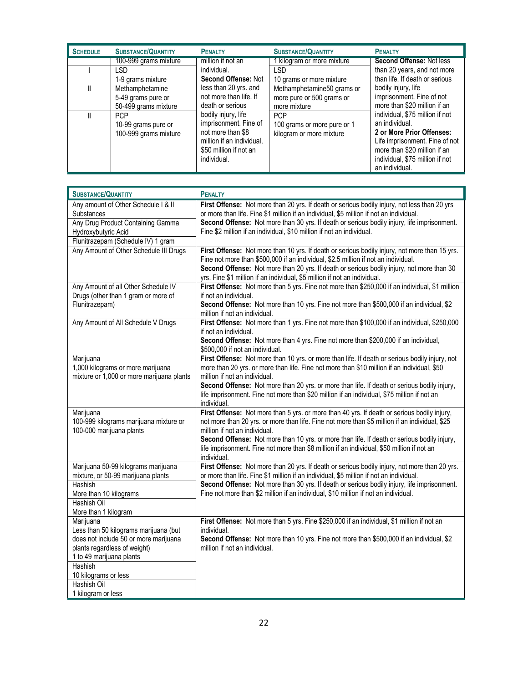| <b>SCHEDULE</b> | <b>SUBSTANCE/QUANTITY</b> | <b>PENALTY</b>             | <b>SUBSTANCE/QUANTITY</b>   | <b>PENALTY</b>                  |
|-----------------|---------------------------|----------------------------|-----------------------------|---------------------------------|
|                 | 100-999 grams mixture     | million if not an          | kilogram or more mixture    | Second Offense: Not less        |
|                 | <b>LSD</b>                | individual.                | <b>LSD</b>                  | than 20 years, and not more     |
|                 | 1-9 grams mixture         | <b>Second Offense: Not</b> | 10 grams or more mixture    | than life. If death or serious  |
|                 | Methamphetamine           | less than 20 yrs. and      | Methamphetamine50 grams or  | bodily injury, life             |
|                 | 5-49 grams pure or        | not more than life. If     | more pure or 500 grams or   | imprisonment. Fine of not       |
|                 | 50-499 grams mixture      | death or serious           | more mixture                | more than \$20 million if an    |
|                 | <b>PCP</b>                | bodily injury, life        | <b>PCP</b>                  | individual, \$75 million if not |
|                 | 10-99 grams pure or       | imprisonment. Fine of      | 100 grams or more pure or 1 | an individual.                  |
|                 | 100-999 grams mixture     | not more than \$8          | kilogram or more mixture    | 2 or More Prior Offenses:       |
|                 |                           | million if an individual,  |                             | Life imprisonment. Fine of not  |
|                 |                           | \$50 million if not an     |                             | more than \$20 million if an    |
|                 |                           | individual.                |                             | individual, \$75 million if not |
|                 |                           |                            |                             | an individual.                  |

| <b>SUBSTANCE/QUANTITY</b>                                                                                                                                                                                 | <b>PENALTY</b>                                                                                                                                                                                                                                                                                                                                                                                                                              |
|-----------------------------------------------------------------------------------------------------------------------------------------------------------------------------------------------------------|---------------------------------------------------------------------------------------------------------------------------------------------------------------------------------------------------------------------------------------------------------------------------------------------------------------------------------------------------------------------------------------------------------------------------------------------|
| Any amount of Other Schedule I & II<br>Substances<br>Any Drug Product Containing Gamma<br>Hydroxybutyric Acid<br>Flunitrazepam (Schedule IV) 1 gram                                                       | First Offense: Not more than 20 yrs. If death or serious bodily injury, not less than 20 yrs<br>or more than life. Fine \$1 million if an individual, \$5 million if not an individual.<br>Second Offense: Not more than 30 yrs. If death or serious bodily injury, life imprisonment.<br>Fine \$2 million if an individual, \$10 million if not an individual.                                                                             |
| Any Amount of Other Schedule III Drugs                                                                                                                                                                    | First Offense: Not more than 10 yrs. If death or serious bodily injury, not more than 15 yrs.<br>Fine not more than \$500,000 if an individual, \$2.5 million if not an individual.<br>Second Offense: Not more than 20 yrs. If death or serious bodily injury, not more than 30<br>yrs. Fine \$1 million if an individual, \$5 million if not an individual.                                                                               |
| Any Amount of all Other Schedule IV<br>Drugs (other than 1 gram or more of<br>Flunitrazepam)                                                                                                              | First Offense: Not more than 5 yrs. Fine not more than \$250,000 if an individual, \$1 million<br>if not an individual.<br>Second Offense: Not more than 10 yrs. Fine not more than \$500,000 if an individual, \$2<br>million if not an individual.                                                                                                                                                                                        |
| Any Amount of All Schedule V Drugs                                                                                                                                                                        | First Offense: Not more than 1 yrs. Fine not more than \$100,000 if an individual, \$250,000<br>if not an individual.<br>Second Offense: Not more than 4 yrs. Fine not more than \$200,000 if an individual,<br>\$500,000 if not an individual.                                                                                                                                                                                             |
| Marijuana<br>1,000 kilograms or more marijuana<br>mixture or 1,000 or more marijuana plants                                                                                                               | First Offense: Not more than 10 yrs. or more than life. If death or serious bodily injury, not<br>more than 20 yrs. or more than life. Fine not more than \$10 million if an individual, \$50<br>million if not an individual.<br>Second Offense: Not more than 20 yrs. or more than life. If death or serious bodily injury,<br>life imprisonment. Fine not more than \$20 million if an individual, \$75 million if not an<br>individual. |
| Marijuana<br>100-999 kilograms marijuana mixture or<br>100-000 marijuana plants                                                                                                                           | First Offense: Not more than 5 yrs. or more than 40 yrs. If death or serious bodily injury,<br>not more than 20 yrs. or more than life. Fine not more than \$5 million if an individual, \$25<br>million if not an individual.<br>Second Offense: Not more than 10 yrs. or more than life. If death or serious bodily injury,<br>life imprisonment. Fine not more than \$8 million if an individual, \$50 million if not an<br>individual.  |
| Marijuana 50-99 kilograms marijuana<br>mixture, or 50-99 marijuana plants<br>Hashish<br>More than 10 kilograms<br>Hashish Oil<br>More than 1 kilogram                                                     | First Offense: Not more than 20 yrs. If death or serious bodily injury, not more than 20 yrs.<br>or more than life. Fine \$1 million if an individual, \$5 million if not an individual.<br>Second Offense: Not more than 30 yrs. If death or serious bodily injury, life imprisonment.<br>Fine not more than \$2 million if an individual, \$10 million if not an individual.                                                              |
| Marijuana<br>Less than 50 kilograms marijuana (but<br>does not include 50 or more marijuana<br>plants regardless of weight)<br>1 to 49 marijuana plants<br>Hashish<br>10 kilograms or less<br>Hashish Oil | First Offense: Not more than 5 yrs. Fine \$250,000 if an individual, \$1 million if not an<br>individual.<br>Second Offense: Not more than 10 yrs. Fine not more than \$500,000 if an individual, \$2<br>million if not an individual.                                                                                                                                                                                                      |
| 1 kilogram or less                                                                                                                                                                                        |                                                                                                                                                                                                                                                                                                                                                                                                                                             |